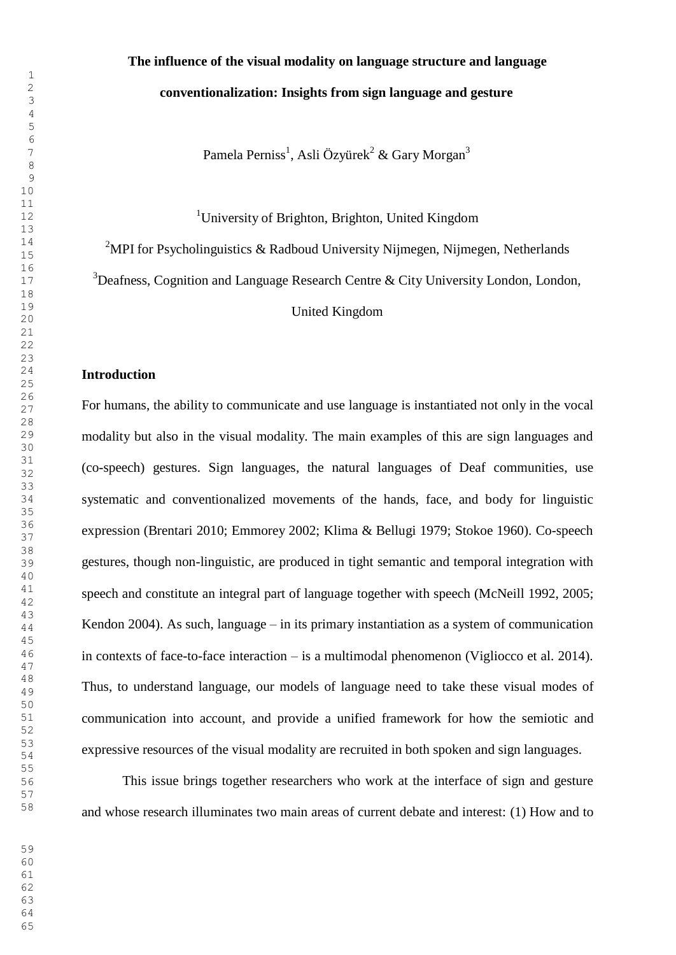## **The influence of the visual modality on language structure and language conventionalization: Insights from sign language and gesture**

<sup>7</sup> Pamela Perniss<sup>1</sup>, Asli Özyürek<sup>2</sup> & Gary Morgan<sup>3</sup>

<sup>1</sup>University of Brighton, Brighton, United Kingdom

<sup>2</sup>MPI for Psycholinguistics & Radboud University Nijmegen, Nijmegen, Netherlands

Deafness, Cognition and Language Research Centre & City University London, London,

United Kingdom <sup>20</sup>

#### **Introduction**

 $\frac{20}{27}$  For humans, the ability to communicate and use language is instantiated not only in the vocal modality but also in the visual modality. The main examples of this are sign languages and  $\frac{31}{22}$  (co-speech) gestures. Sign languages, the natural languages of Deaf communities, use systematic and conventionalized movements of the hands, face, and body for linguistic expression (Brentari 2010; Emmorey 2002; Klima & Bellugi 1979; Stokoe 1960). Co-speech gestures, though non-linguistic, are produced in tight semantic and temporal integration with <sup>41</sup> speech and constitute an integral part of language together with speech (McNeill 1992, 2005;  $\frac{1}{44}$  Kendon 2004). As such, language – in its primary instantiation as a system of communication in contexts of face-to-face interaction – is a multimodal phenomenon (Vigliocco et al. 2014). Thus, to understand language, our models of language need to take these visual modes of communication into account, and provide a unified framework for how the semiotic and expressive resources of the visual modality are recruited in both spoken and sign languages.

 This issue brings together researchers who work at the interface of sign and gesture and whose research illuminates two main areas of current debate and interest: (1) How and to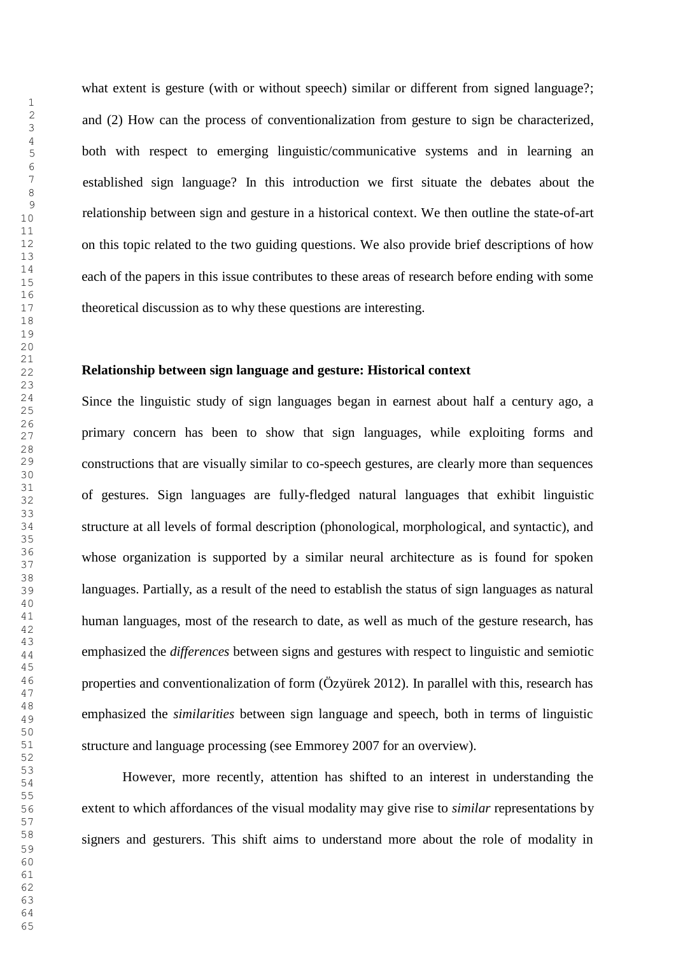what extent is gesture (with or without speech) similar or different from signed language?; and (2) How can the process of conventionalization from gesture to sign be characterized, both with respect to emerging linguistic/communicative systems and in learning an established sign language? In this introduction we first situate the debates about the relationship between sign and gesture in a historical context. We then outline the state-of-art on this topic related to the two guiding questions. We also provide brief descriptions of how each of the papers in this issue contributes to these areas of research before ending with some theoretical discussion as to why these questions are interesting.

#### **Relationship between sign language and gesture: Historical context**

<sup>24</sup> Since the linguistic study of sign languages began in earnest about half a century ago, a primary concern has been to show that sign languages, while exploiting forms and constructions that are visually similar to co-speech gestures, are clearly more than sequences  $\frac{31}{22}$  of gestures. Sign languages are fully-fledged natural languages that exhibit linguistic structure at all levels of formal description (phonological, morphological, and syntactic), and whose organization is supported by a similar neural architecture as is found for spoken languages. Partially, as a result of the need to establish the status of sign languages as natural human languages, most of the research to date, as well as much of the gesture research, has emphasized the *differences* between signs and gestures with respect to linguistic and semiotic properties and conventionalization of form (Özyürek 2012). In parallel with this, research has emphasized the *similarities* between sign language and speech, both in terms of linguistic structure and language processing (see Emmorey 2007 for an overview).

 However, more recently, attention has shifted to an interest in understanding the <sup>54</sup> extent to which affordances of the visual modality may give rise to *similar* representations by signers and gesturers. This shift aims to understand more about the role of modality in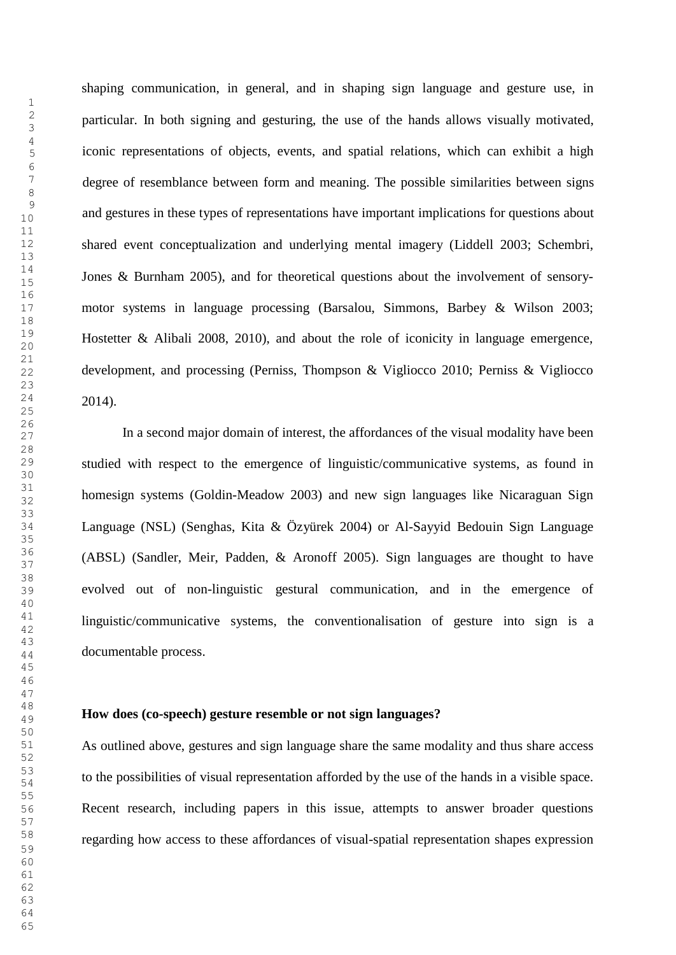shaping communication, in general, and in shaping sign language and gesture use, in particular. In both signing and gesturing, the use of the hands allows visually motivated, iconic representations of objects, events, and spatial relations, which can exhibit a high degree of resemblance between form and meaning. The possible similarities between signs and gestures in these types of representations have important implications for questions about shared event conceptualization and underlying mental imagery (Liddell 2003; Schembri,  $\frac{14}{15}$  Jones & Burnham 2005), and for theoretical questions about the involvement of sensory- motor systems in language processing (Barsalou, Simmons, Barbey & Wilson 2003; <sup>19</sup> Hostetter & Alibali 2008, 2010), and about the role of iconicity in language emergence, development, and processing (Perniss, Thompson & Vigliocco 2010; Perniss & Vigliocco 2014).

 $\frac{20}{27}$  In a second major domain of interest, the affordances of the visual modality have been studied with respect to the emergence of linguistic/communicative systems, as found in homesign systems (Goldin-Meadow 2003) and new sign languages like Nicaraguan Sign Language (NSL) (Senghas, Kita & Özyürek 2004) or Al-Sayyid Bedouin Sign Language  $35<sup>8</sup>$  (ABSL) (Sandler, Meir, Padden, & Aronoff 2005). Sign languages are thought to have evolved out of non-linguistic gestural communication, and in the emergence of linguistic/communicative systems, the conventionalisation of gesture into sign is a  $\frac{10}{44}$  documentable process.

### **How does (co-speech) gesture resemble or not sign languages?**

 As outlined above, gestures and sign language share the same modality and thus share access to the possibilities of visual representation afforded by the use of the hands in <sup>a</sup> visible space. <sup>54</sup> Recent research, including papers in this issue, attempts to answer broader questions regarding how access to these affordances of visual-spatial representation shapes expression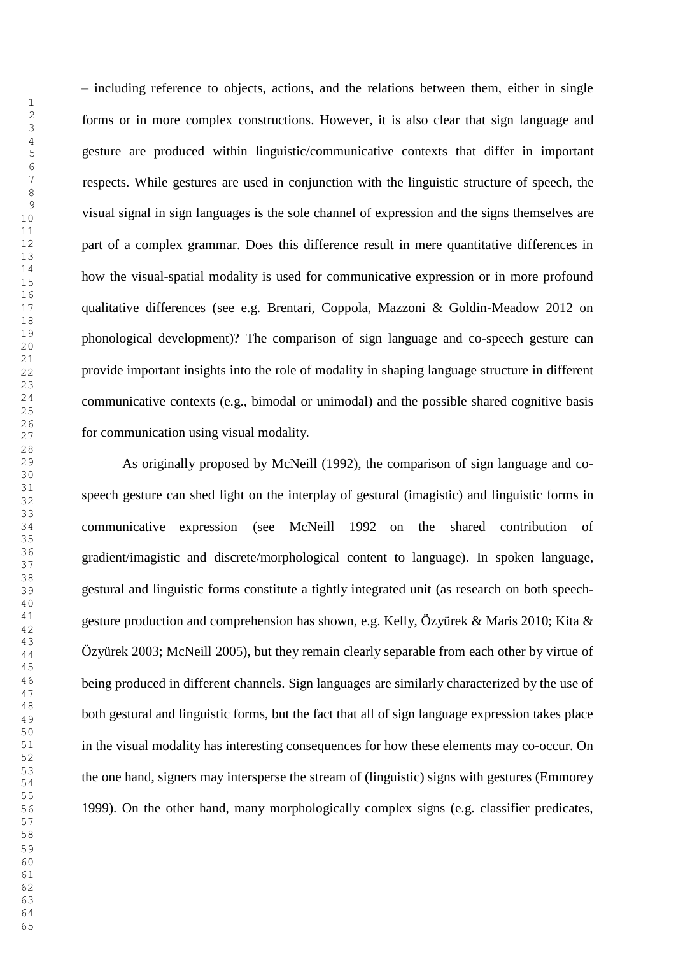– including reference to objects, actions, and the relations between them, either in single  $\frac{2}{3}$  forms or in more complex constructions. However, it is also clear that sign language and 5 gesture are produced within linguistic/communicative contexts that differ in important respects. While gestures are used in conjunction with the linguistic structure of speech, the visual signal in sign languages is the sole channel of expression and the signs themselves are part of a complex grammar. Does this difference result in mere quantitative differences in  $\frac{14}{15}$  how the visual-spatial modality is used for communicative expression or in more profound qualitative differences (see e.g. Brentari, Coppola, Mazzoni & Goldin-Meadow 2012 on <sup>19</sup> phonological development)? The comparison of sign language and co-speech gesture can provide important insights into the role of modality in shaping language structure in different communicative contexts (e.g., bimodal or unimodal) and the possible shared cognitive basis  $\frac{20}{27}$  for communication using visual modality.

 As originally proposed by McNeill (1992), the comparison of sign language and cospeech gesture can shed light on the interplay of gestural (imagistic) and linguistic forms in communicative expression (see McNeill 1992 on the shared contribution of gradient/imagistic and discrete/morphological content to language). In spoken language, gestural and linguistic forms constitute a tightly integrated unit (as research on both speechgesture production and comprehension has shown, e.g. Kelly, Özyürek & Maris 2010; Kita &  $\frac{1}{44}$  Özyürek 2003; McNeill 2005), but they remain clearly separable from each other by virtue of <sup>46</sup> being produced in different channels. Sign languages are similarly characterized by the use of  $\frac{48}{49}$  both gestural and linguistic forms, but the fact that all of sign language expression takes place in the visual modality has interesting consequences for how these elements may co-occur. On the one hand, signers may intersperse the stream of (linguistic) signs with gestures (Emmorey <sup>54</sup> 1999). On the other hand, many morphologically complex signs (e.g. classifier predicates,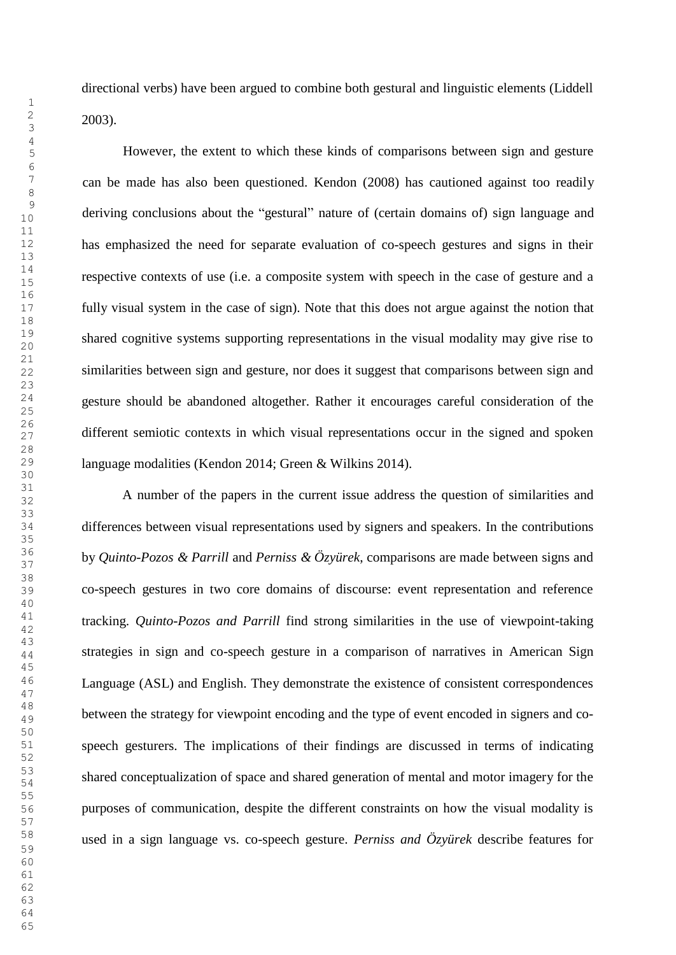directional verbs) have been argued to combine both gestural and linguistic elements (Liddell 2003).

 However, the extent to which these kinds of comparisons between sign and gesture can be made has also been questioned. Kendon (2008) has cautioned against too readily deriving conclusions about the "gestural" nature of (certain domains of) sign language and has emphasized the need for separate evaluation of co-speech gestures and signs in their respective contexts of use (i.e. a composite system with speech in the case of gesture and a fully visual system in the case of sign). Note that this does not argue against the notion that <sup>19</sup> shared cognitive systems supporting representations in the visual modality may give rise to <sup>20</sup> similarities between sign and gesture, nor does it suggest that comparisons between sign and <sup>24</sup> gesture should be abandoned altogether. Rather it encourages careful consideration of the  $\frac{20}{27}$  different semiotic contexts in which visual representations occur in the signed and spoken language modalities (Kendon 2014; Green & Wilkins 2014).

 $\frac{31}{22}$  A number of the papers in the current issue address the question of similarities and differences between visual representations used by signers and speakers. In the contributions by *Quinto-Pozos & Parrill* and *Perniss & Özyürek*, comparisons are made between signs and <sup>37</sup> co-speech gestures in two core domains of discourse: event representation and reference tracking. *Quinto-Pozos and Parrill* find strong similarities in the use of viewpoint-taking <sup>12</sup><sub>44</sub> strategies in sign and co-speech gesture in a comparison of narratives in American Sign Language (ASL) and English. They demonstrate the existence of consistent correspondences  $\frac{48}{49}$  between the strategy for viewpoint encoding and the type of event encoded in signers and co- speech gesturers. The implications of their findings are discussed in terms of indicating 53 shared conceptualization of space and shared generation of mental and motor imagery for the purposes of communication, despite the different constraints on how the visual modality is used in a sign language vs. co-speech gesture. *Perniss and Özyürek* describe features for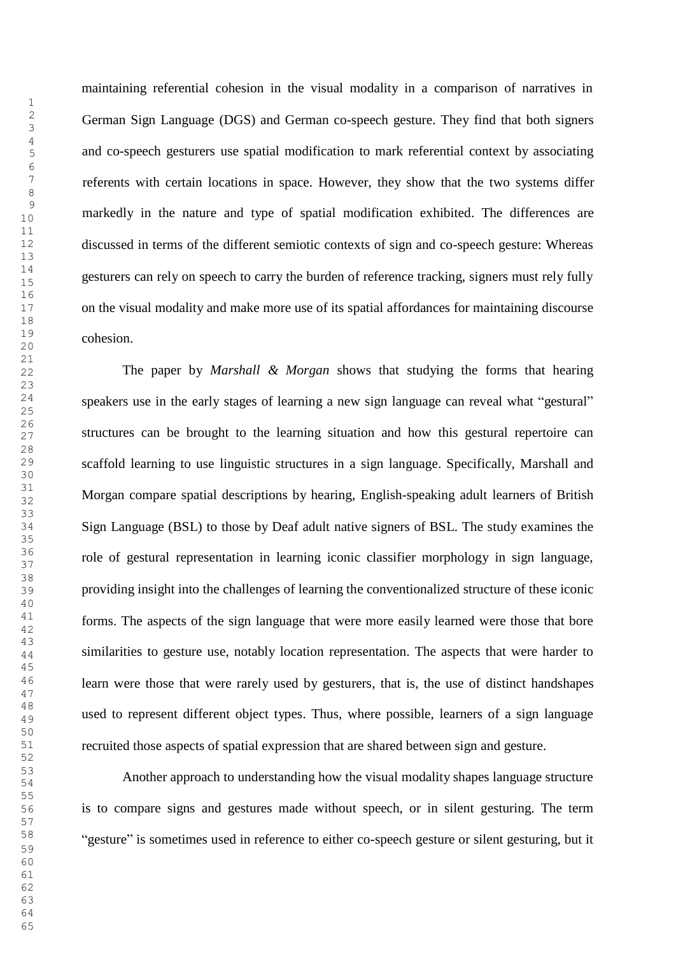maintaining referential cohesion in the visual modality in a comparison of narratives in  $\frac{2}{3}$  German Sign Language (DGS) and German co-speech gesture. They find that both signers <sup>5</sup> and co-speech gesturers use spatial modification to mark referential context by associating referents with certain locations in space. However, they show that the two systems differ markedly in the nature and type of spatial modification exhibited. The differences are discussed in terms of the different semiotic contexts of sign and co-speech gesture: Whereas gesturers can rely on speech to carry the burden of reference tracking, signers must rely fully on the visual modality and make more use of its spatial affordances for maintaining discourse  $\frac{19}{20}$  cohesion.

 The paper by *Marshall & Morgan* shows that studying the forms that hearing speakers use in the early stages of learning a new sign language can reveal what "gestural"  $\frac{20}{27}$  structures can be brought to the learning situation and how this gestural repertoire can scaffold learning to use linguistic structures in a sign language. Specifically, Marshall and  $\frac{31}{22}$  Morgan compare spatial descriptions by hearing, English-speaking adult learners of British Sign Language (BSL) to those by Deaf adult native signers of BSL. The study examines the role of gestural representation in learning iconic classifier morphology in sign language, providing insight into the challenges of learning the conventionalized structure of these iconic forms. The aspects of the sign language that were more easily learned were those that bore <sup>12</sup><sub>44</sub> similarities to gesture use, notably location representation. The aspects that were harder to <sup>46</sup> learn were those that were rarely used by gesturers, that is, the use of distinct handshapes  $\frac{48}{49}$  used to represent different object types. Thus, where possible, learners of a sign language recruited those aspects of spatial expression that are shared between sign and gesture.

 Another approach to understanding how the visual modality shapes language structure <sup>54</sup> is to compare signs and gestures made without speech, or in silent gesturing. The term "gesture" is sometimes used in reference to either co-speech gesture or silent gesturing, but it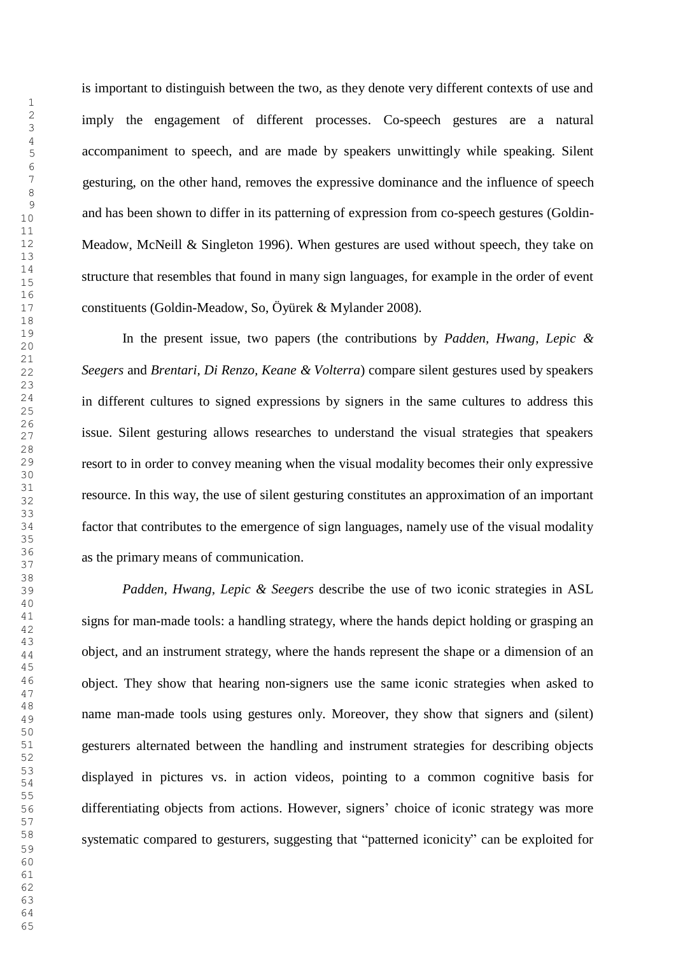is important to distinguish between the two, as they denote very different contexts of use and imply the engagement of different processes. Co-speech gestures are a natural 5 accompaniment to speech, and are made by speakers unwittingly while speaking. Silent gesturing, on the other hand, removes the expressive dominance and the influence of speech and has been shown to differ in its patterning of expression from co-speech gestures (Goldin-Meadow, McNeill & Singleton 1996). When gestures are used without speech, they take on structure that resembles that found in many sign languages, for example in the order of event constituents (Goldin-Meadow, So, Öyürek & Mylander 2008).

 In the present issue, two papers (the contributions by *Padden, Hwang, Lepic &* <sup>20</sup> *Seegers* and *Brentari, Di Renzo, Keane & Volterra*) compare silent gestures used by speakers <sup>24</sup> in different cultures to signed expressions by signers in the same cultures to address this  $\frac{20}{27}$  issue. Silent gesturing allows researches to understand the visual strategies that speakers resort to in order to convey meaning when the visual modality becomes their only expressive resource. In this way, the use of silent gesturing constitutes an approximation of an important factor that contributes to the emergence of sign languages, namely use of the visual modality as the primary means of communication.

 *Padden, Hwang, Lepic & Seegers* describe the use of two iconic strategies in ASL signs for man-made tools: a handling strategy, where the hands depict holding or grasping an  $\frac{10}{44}$  object, and an instrument strategy, where the hands represent the shape or a dimension of an object. They show that hearing non-signers use the same iconic strategies when asked to name man-made tools using gestures only. Moreover, they show that signers and (silent) gesturers alternated between the handling and instrument strategies for describing objects displayed in pictures vs. in action videos, pointing to a common cognitive basis for <sup>54</sup> differentiating objects from actions. However, signers' choice of iconic strategy was more systematic compared to gesturers, suggesting that "patterned iconicity" can be exploited for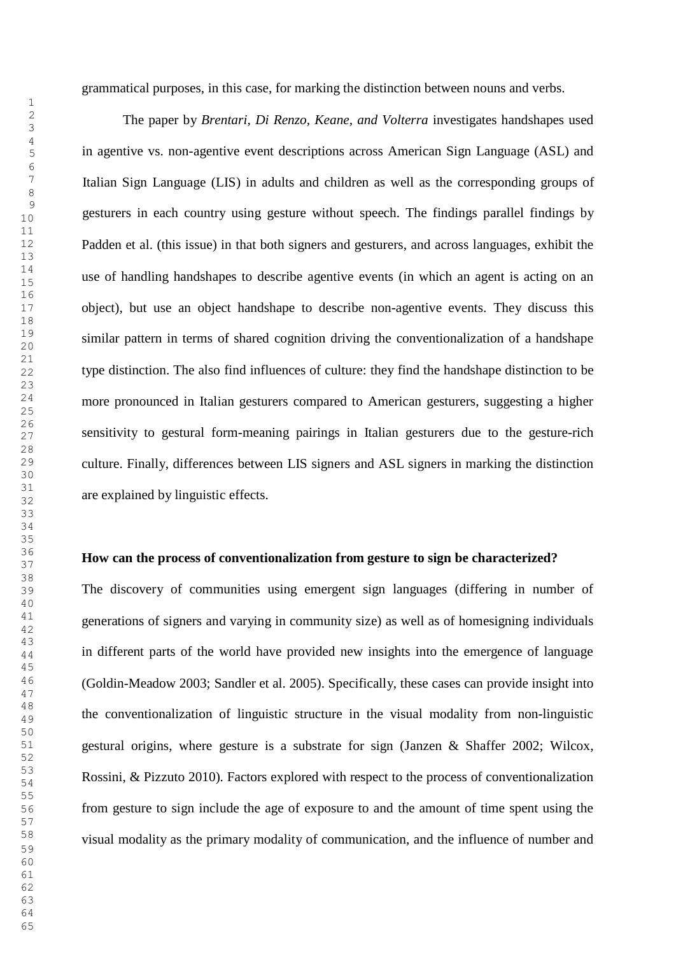grammatical purposes, in this case, for marking the distinction between nouns and verbs.

 The paper by *Brentari, Di Renzo, Keane, and Volterra* investigates handshapes used in agentive vs. non-agentive event descriptions across American Sign Language (ASL) and Italian Sign Language (LIS) in adults and children as well as the corresponding groups of gesturers in each country using gesture without speech. The findings parallel findings by Padden et al. (this issue) in that both signers and gesturers, and across languages, exhibit the use of handling handshapes to describe agentive events (in which an agent is acting on an object), but use an object handshape to describe non-agentive events. They discuss this  $\frac{19}{20}$  similar pattern in terms of shared cognition driving the conventionalization of a handshape type distinction. The also find influences of culture: they find the handshape distinction to be more pronounced in Italian gesturers compared to American gesturers, suggesting a higher  $\frac{20}{27}$  sensitivity to gestural form-meaning pairings in Italian gesturers due to the gesture-rich culture. Finally, differences between LIS signers and ASL signers in marking the distinction are explained by linguistic effects.

#### **How can the process of conventionalization from gesture to sign be characterized?**

The discovery of communities using emergent sign languages (differing in number of generations of signers and varying in community size) as well as of homesigning individuals <sup>12</sup> in different parts of the world have provided new insights into the emergence of language (Goldin-Meadow 2003; Sandler et al. 2005). Specifically, these cases can provide insight into  $\frac{48}{49}$  the conventionalization of linguistic structure in the visual modality from non-linguistic gestural origins, where gesture is a substrate for sign (Janzen & Shaffer 2002; Wilcox, 53 Rossini, & Pizzuto 2010). Factors explored with respect to the process of conventionalization from gesture to sign include the age of exposure to and the amount of time spent using the visual modality as the primary modality of communication, and the influence of number and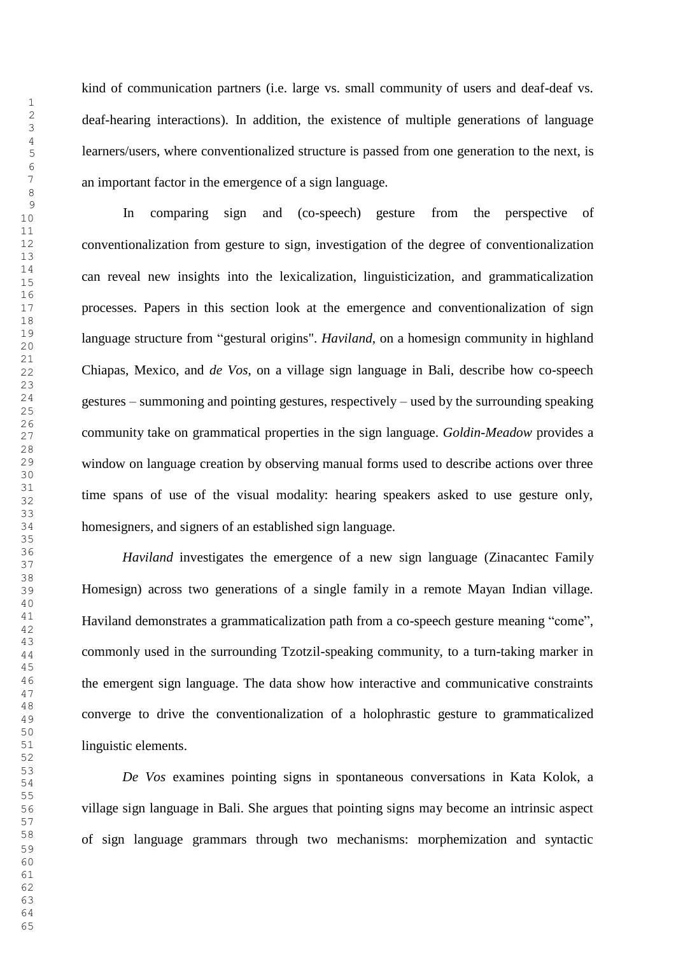kind of communication partners (i.e. large vs. small community of users and deaf-deaf vs.  $\frac{2}{3}$  deaf-hearing interactions). In addition, the existence of multiple generations of language learners/users, where conventionalized structure is passed from one generation to the next, is an important factor in the emergence of a sign language.

In comparing sign and (co-speech) gesture from the perspective of conventionalization from gesture to sign, investigation of the degree of conventionalization can reveal new insights into the lexicalization, linguisticization, and grammaticalization processes. Papers in this section look at the emergence and conventionalization of sign language structure from "gestural origins". *Haviland*, on a homesign community in highland Chiapas, Mexico, and *de Vos*, on a village sign language in Bali, describe how co-speech <sup>24</sup> gestures – summoning and pointing gestures, respectively – used by the surrounding speaking community take on grammatical properties in the sign language. *Goldin-Meadow* provides a window on language creation by observing manual forms used to describe actions over three time spans of use of the visual modality: hearing speakers asked to use gesture only, homesigners, and signers of an established sign language.

 *Haviland* investigates the emergence of a new sign language (Zinacantec Family Homesign) across two generations of a single family in a remote Mayan Indian village. Haviland demonstrates a grammaticalization path from a co-speech gesture meaning "come",  $\frac{10}{44}$  commonly used in the surrounding Tzotzil-speaking community, to a turn-taking marker in <sup>46</sup> the emergent sign language. The data show how interactive and communicative constraints converge to drive the conventionalization of a holophrastic gesture to grammaticalized linguistic elements.

 *De Vos* examines pointing signs in spontaneous conversations in Kata Kolok, a <sup>54</sup> village sign language in Bali. She argues that pointing signs may become an intrinsic aspect of sign language grammars through two mechanisms: morphemization and syntactic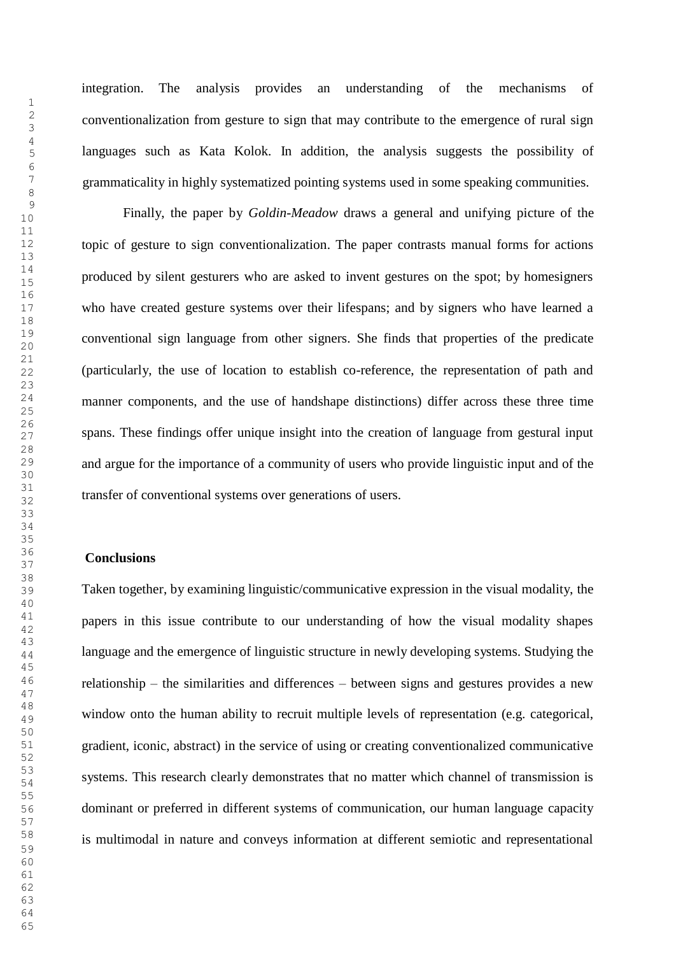integration. The analysis provides an understanding of the mechanisms of conventionalization from gesture to sign that may contribute to the emergence of rural sign languages such as Kata Kolok. In addition, the analysis suggests the possibility of grammaticality in highly systematized pointing systems used in some speaking communities.

Finally, the paper by *Goldin-Meadow* draws a general and unifying picture of the topic of gesture to sign conventionalization. The paper contrasts manual forms for actions produced by silent gesturers who are asked to invent gestures on the spot; by homesigners who have created gesture systems over their lifespans; and by signers who have learned a conventional sign language from other signers. She finds that properties of the predicate <sup>20</sup> (particularly, the use of location to establish co-reference, the representation of path and manner components, and the use of handshape distinctions) differ across these three time  $\frac{25}{27}$  spans. These findings offer unique insight into the creation of language from gestural input and argue for the importance of a community of users who provide linguistic input and of the transfer of conventional systems over generations of users.

#### **Conclusions**

Taken together, by examining linguistic/communicative expression in the visual modality, the papers in this issue contribute to our understanding of how the visual modality shapes  $\frac{10}{44}$  language and the emergence of linguistic structure in newly developing systems. Studying the relationship – the similarities and differences – between signs and gestures provides a new  $\frac{48}{49}$  window onto the human ability to recruit multiple levels of representation (e.g. categorical, gradient, iconic, abstract) in the service of using or creating conventionalized communicative systems. This research clearly demonstrates that no matter which channel of transmission is dominant or preferred in different systems of communication, our human language capacity is multimodal in nature and conveys information at different semiotic and representational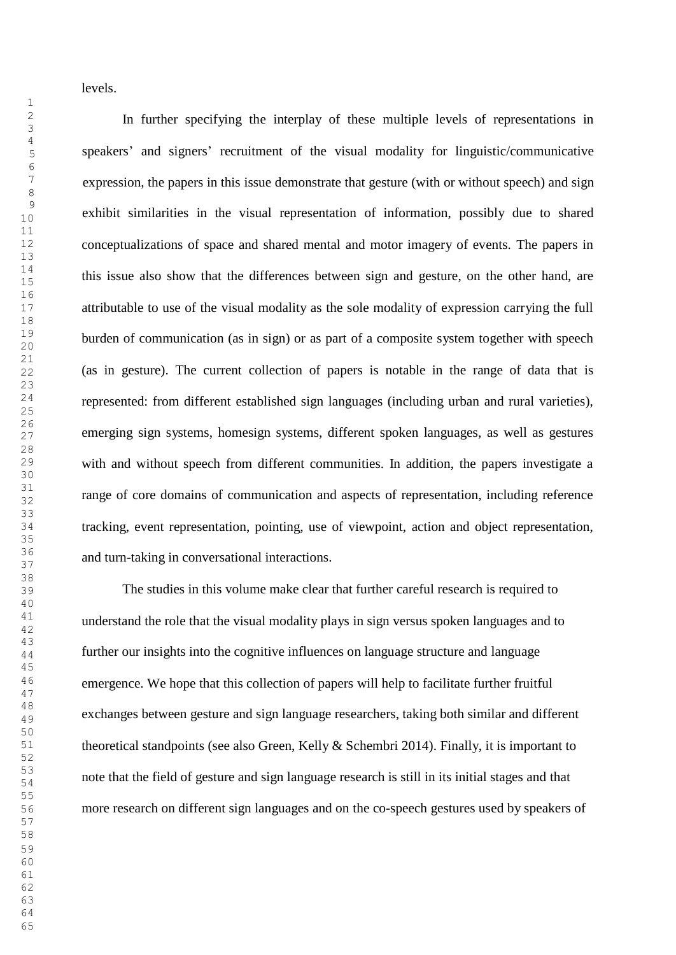levels.

In further specifying the interplay of these multiple levels of representations in speakers' and signers' recruitment of the visual modality for linguistic/communicative expression, the papers in this issue demonstrate that gesture (with or without speech) and sign exhibit similarities in the visual representation of information, possibly due to shared conceptualizations of space and shared mental and motor imagery of events. The papers in this issue also show that the differences between sign and gesture, on the other hand, are attributable to use of the visual modality as the sole modality of expression carrying the full  $\frac{19}{20}$  burden of communication (as in sign) or as part of a composite system together with speech  $\frac{22}{22}$  (as in gesture). The current collection of papers is notable in the range of data that is represented: from different established sign languages (including urban and rural varieties),  $\frac{20}{27}$  emerging sign systems, homesign systems, different spoken languages, as well as gestures with and without speech from different communities. In addition, the papers investigate a range of core domains of communication and aspects of representation, including reference tracking, event representation, pointing, use of viewpoint, action and object representation, and turn-taking in conversational interactions.

The studies in this volume make clear that further careful research is required to understand the role that the visual modality plays in sign versus spoken languages and to  $\frac{1}{44}$  further our insights into the cognitive influences on language structure and language <sup>46</sup> emergence. We hope that this collection of papers will help to facilitate further fruitful exchanges between gesture and sign language researchers, taking both similar and different 51 theoretical standpoints (see also Green, Kelly & Schembri 2014). Finally, it is important to note that the field of gesture and sign language research is still in its initial stages and that <sup>54</sup> more research on different sign languages and on the co-speech gestures used by speakers of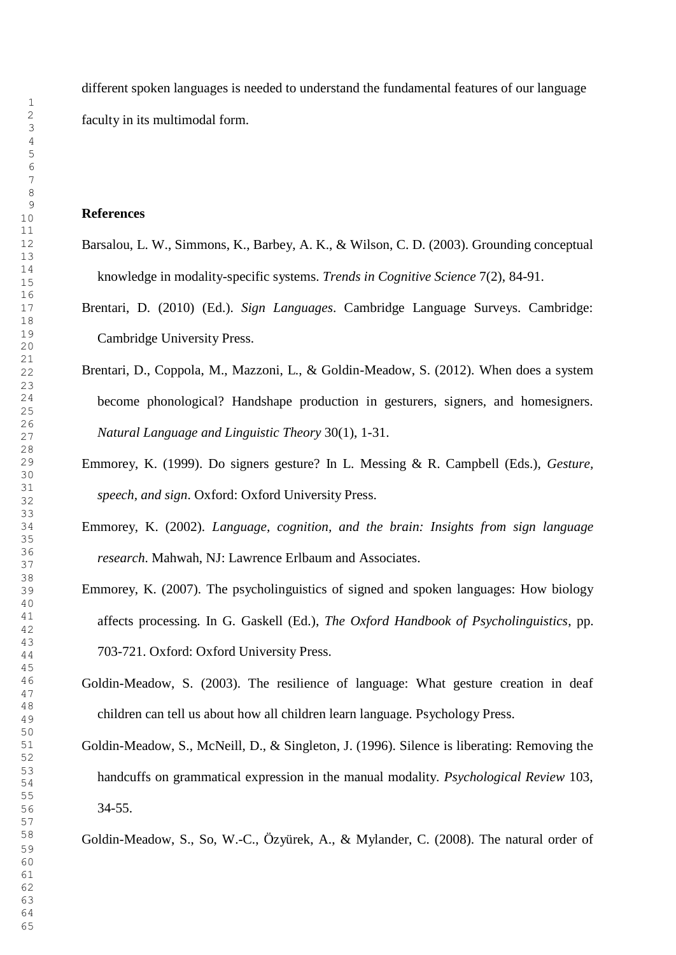different spoken languages is needed to understand the fundamental features of our language  $\frac{2}{3}$  faculty in its multimodal form.

#### **References**

- Barsalou, L. W., Simmons, K., Barbey, A. K., & Wilson, C. D. (2003). Grounding conceptual knowledge in modality-specific systems. *Trends in Cognitive Science* 7(2), 84-91.
- Brentari, D. (2010) (Ed.). *Sign Languages*. Cambridge Language Surveys. Cambridge: Cambridge University Press. <sup>20</sup>
- <sup>22</sup> Brentari, D., Coppola, M., Mazzoni, L., & Goldin-Meadow, S. (2012). When does a system <sup>24</sup> become phonological? Handshape production in gesturers, signers, and homesigners. *Natural Language and Linguistic Theory* 30(1), 1-31.
- Emmorey, K. (1999). Do signers gesture? In L. Messing & R. Campbell (Eds.), *Gesture, speech, and sign*. Oxford: Oxford University Press.
	- Emmorey, K. (2002). *Language, cognition, and the brain: Insights from sign language research*. Mahwah, NJ: Lawrence Erlbaum and Associates.
- Emmorey, K. (2007). The psycholinguistics of signed and spoken languages: How biology affects processing. In G. Gaskell (Ed.), *The Oxford Handbook of Psycholinguistics*, pp.  $^{12}_{44}$  703-721. Oxford: Oxford University Press.
- Goldin-Meadow, S. (2003). The resilience of language: What gesture creation in deaf children can tell us about how all children learn language. Psychology Press.
- Goldin-Meadow, S., McNeill, D., & Singleton, J. (1996). Silence is liberating: Removing the handcuffs on grammatical expression in the manual modality. *Psychological Review* 103, <sup>54</sup> 34-55.

Goldin-Meadow, S., So, W.-C., Özyürek, A., & Mylander, C. (2008). The natural order of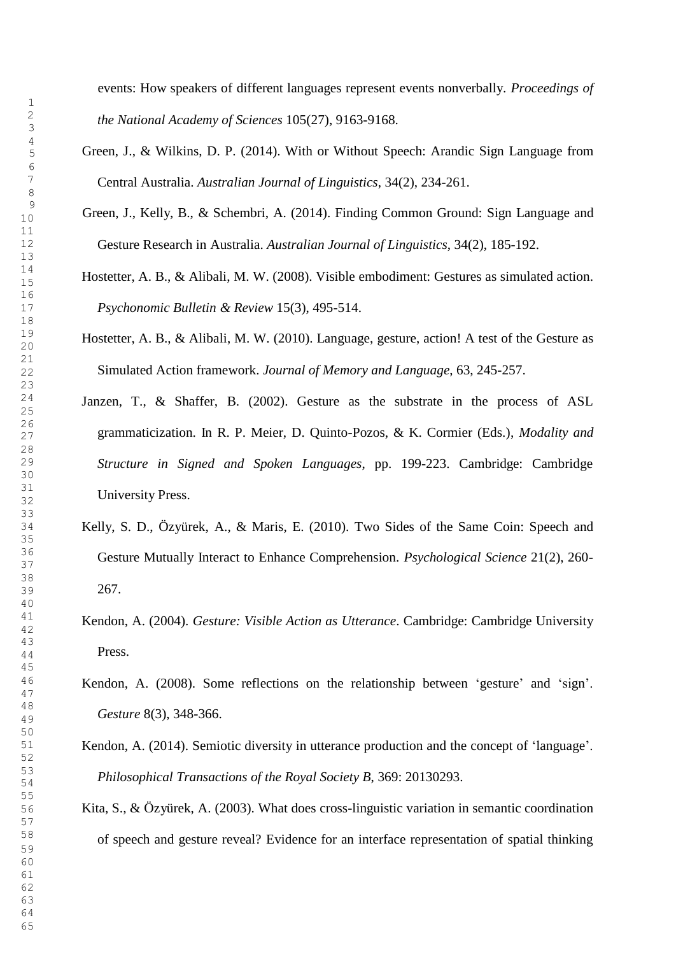events: How speakers of different languages represent events nonverbally. *Proceedings of the National Academy of Sciences* 105(27), 9163-9168.

- Green, J., & Wilkins, D. P. (2014). With or Without Speech: Arandic Sign Language from Central Australia. *Australian Journal of Linguistics*, 34(2), 234-261.
- Green, J., Kelly, B., & Schembri, A. (2014). Finding Common Ground: Sign Language and Gesture Research in Australia. *Australian Journal of Linguistics*, 34(2), 185-192.
- Hostetter, A. B., & Alibali, M. W. (2008). Visible embodiment: Gestures as simulated action. *Psychonomic Bulletin & Review* 15(3), 495-514.
- Hostetter, A. B., & Alibali, M. W. (2010). Language, gesture, action! A test of the Gesture as Simulated Action framework. *Journal of Memory and Language*, 63, 245-257.
- Janzen, T., & Shaffer, B. (2002). Gesture as the substrate in the process of ASL grammaticization. In R. P. Meier, D. Quinto-Pozos, & K. Cormier (Eds.), *Modality and Structure in Signed and Spoken Languages*, pp. 199-223. Cambridge: Cambridge  $\frac{31}{22}$  University Press.
- Kelly, S. D., Özyürek, A., & Maris, E. (2010). Two Sides of the Same Coin: Speech and Gesture Mutually Interact to Enhance Comprehension. *Psychological Science* 21(2), 260- 267.
- Kendon, A. (2004). *Gesture: Visible Action as Utterance*. Cambridge: Cambridge University Press.
- Kendon, A. (2008). Some reflections on the relationship between 'gesture' and 'sign'. *Gesture* 8(3), 348-366.
- Kendon, A. (2014). Semiotic diversity in utterance production and the concept of 'language'. *Philosophical Transactions of the Royal Society B*, 369: 20130293. <sup>54</sup>
- Kita, S., & Özyürek, A. (2003). What does cross-linguistic variation in semantic coordination of speech and gesture reveal? Evidence for an interface representation of spatial thinking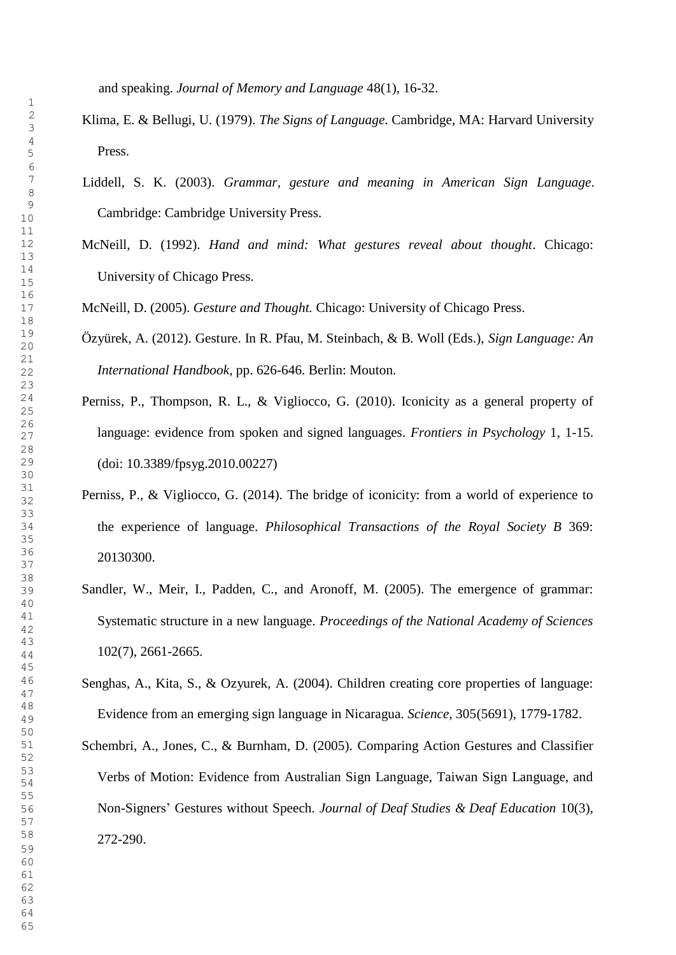and speaking. *Journal of Memory and Language* 48(1), 16-32.

- Klima, E. & Bellugi, U. (1979). *The Signs of Language*. Cambridge, MA: Harvard University Press.
	- Liddell, S. K. (2003). *Grammar, gesture and meaning in American Sign Language*. Cambridge: Cambridge University Press.
- McNeill, D. (1992). *Hand and mind: What gestures reveal about thought*. Chicago:  $\frac{14}{15}$  University of Chicago Press.

McNeill, D. (2005). *Gesture and Thought.* Chicago: University of Chicago Press.

- Özyürek, A. (2012). Gesture. In R. Pfau, M. Steinbach, & B. Woll (Eds.), *Sign Language: An* <sup>20</sup> *International Handbook*, pp. 626-646. Berlin: Mouton.
- <sup>24</sup> Perniss, P., Thompson, R. L., & Vigliocco, G. (2010). Iconicity as a general property of language: evidence from spoken and signed languages. *Frontiers in Psychology* 1, 1-15. (doi: 10.3389/fpsyg.2010.00227)
- $\frac{31}{22}$  Perniss, P., & Vigliocco, G. (2014). The bridge of iconicity: from a world of experience to the experience of language. *Philosophical Transactions of the Royal Society B* 369:  $\frac{36}{37}$  20130300.
- Sandler, W., Meir, I., Padden, C., and Aronoff, M. (2005). The emergence of grammar: Systematic structure in a new language. *Proceedings of the National Academy of Sciences*  $^{10}_{44}$  102(7), 2661-2665.
- Senghas, A., Kita, S., & Ozyurek, A. (2004). Children creating core properties of language: Evidence from an emerging sign language in Nicaragua. *Science*, 305(5691), 1779-1782.

51 Schembri, A., Jones, C., & Burnham, D. (2005). Comparing Action Gestures and Classifier Verbs of Motion: Evidence from Australian Sign Language, Taiwan Sign Language, and <sup>54</sup> Non-Signers' Gestures without Speech. *Journal of Deaf Studies & Deaf Education* 10(3), 272-290.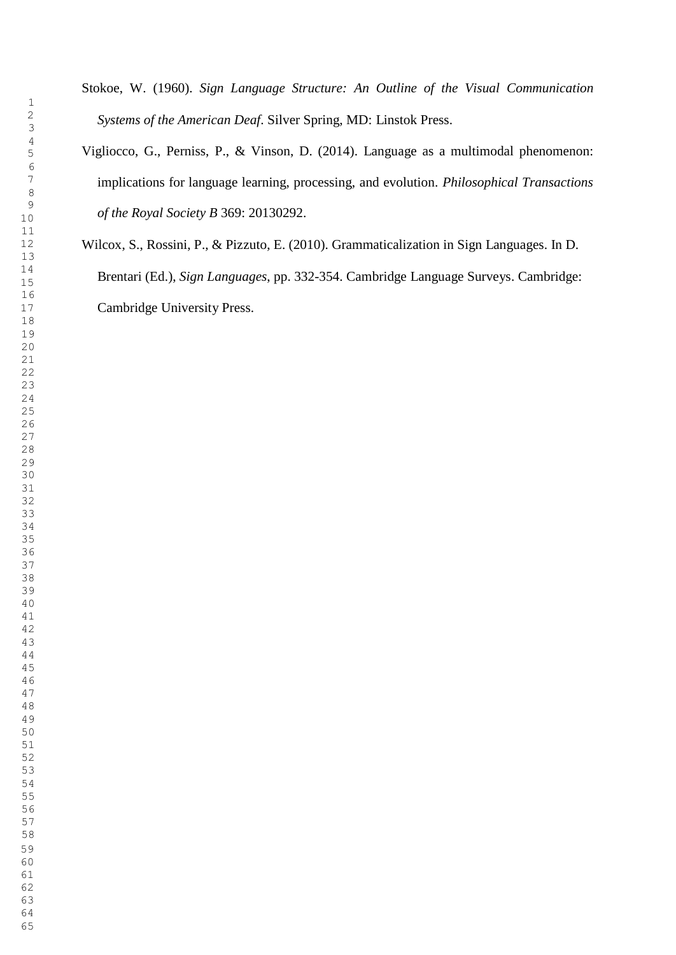- Stokoe, W. (1960). *Sign Language Structure: An Outline of the Visual Communication Systems of the American Deaf*. Silver Spring, MD: Linstok Press.
- Vigliocco, G., Perniss, P., & Vinson, D. (2014). Language as a multimodal phenomenon: implications for language learning, processing, and evolution. *Philosophical Transactions of the Royal Society B* 369: 20130292.

Wilcox, S., Rossini, P., & Pizzuto, E. (2010). Grammaticalization in Sign Languages. In D. Brentari (Ed.), *Sign Languages*, pp. 332-354. Cambridge Language Surveys. Cambridge: Cambridge University Press.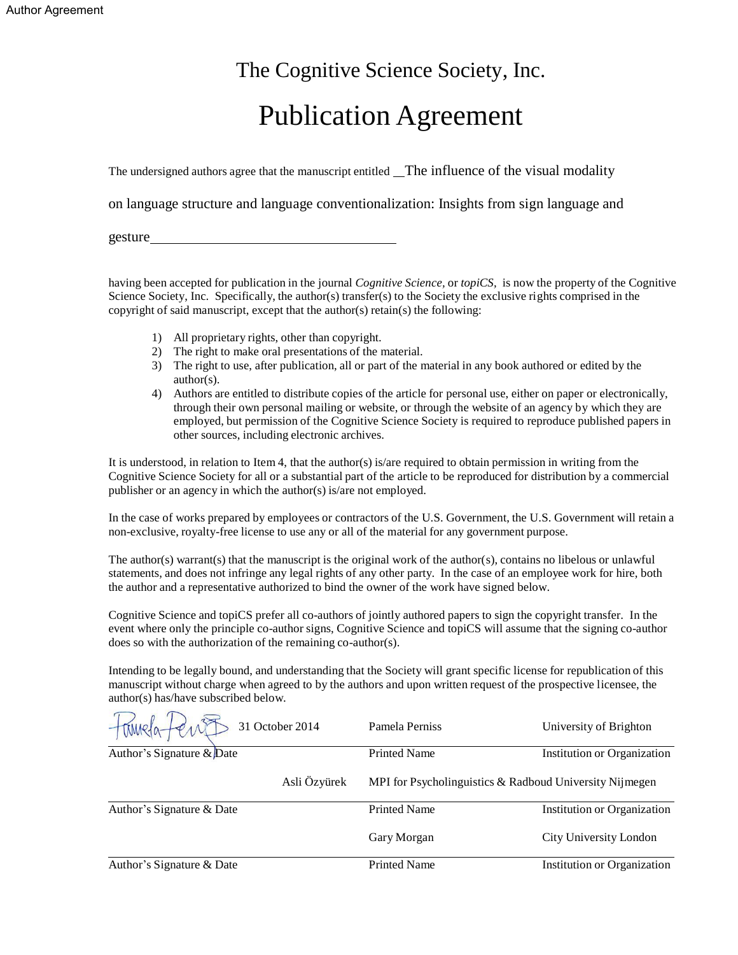# The Cognitive Science Society, Inc.

# Publication Agreement

The undersigned authors agree that the manuscript entitled The influence of the visual modality

on language structure and language conventionalization: Insights from sign language and

gesture

having been accepted for publication in the journal *Cognitive Science,* or *topiCS,* is now the property of the Cognitive Science Society, Inc. Specifically, the author(s) transfer(s) to the Society the exclusive rights comprised in the copyright of said manuscript, except that the author(s) retain(s) the following:

- 1) All proprietary rights, other than copyright.
- 2) The right to make oral presentations of the material.
- 3) The right to use, after publication, all or part of the material in any book authored or edited by the author(s).
- 4) Authors are entitled to distribute copies of the article for personal use, either on paper or electronically, through their own personal mailing or website, or through the website of an agency by which they are employed, but permission of the Cognitive Science Society is required to reproduce published papers in other sources, including electronic archives.

It is understood, in relation to Item 4, that the author(s) is/are required to obtain permission in writing from the Cognitive Science Society for all or a substantial part of the article to be reproduced for distribution by a commercial publisher or an agency in which the author(s) is/are not employed.

In the case of works prepared by employees or contractors of the U.S. Government, the U.S. Government will retain a non-exclusive, royalty-free license to use any or all of the material for any government purpose.

The author(s) warrant(s) that the manuscript is the original work of the author(s), contains no libelous or unlawful statements, and does not infringe any legal rights of any other party. In the case of an employee work for hire, both the author and a representative authorized to bind the owner of the work have signed below.

Cognitive Science and topiCS prefer all co-authors of jointly authored papers to sign the copyright transfer. In the event where only the principle co-author signs, Cognitive Science and topiCS will assume that the signing co-author does so with the authorization of the remaining co-author(s).

Intending to be legally bound, and understanding that the Society will grant specific license for republication of this manuscript without charge when agreed to by the authors and upon written request of the prospective licensee, the author(s) has/have subscribed below.

|                              | 31 October 2014 | Pamela Perniss                                          | University of Brighton             |
|------------------------------|-----------------|---------------------------------------------------------|------------------------------------|
| Author's Signature $\&$ Date |                 | <b>Printed Name</b>                                     | <b>Institution or Organization</b> |
|                              | Asli Özyürek    | MPI for Psycholinguistics & Radboud University Nijmegen |                                    |
| Author's Signature & Date    |                 | <b>Printed Name</b>                                     | Institution or Organization        |
|                              |                 | Gary Morgan                                             | City University London             |
| Author's Signature & Date    |                 | <b>Printed Name</b>                                     | Institution or Organization        |